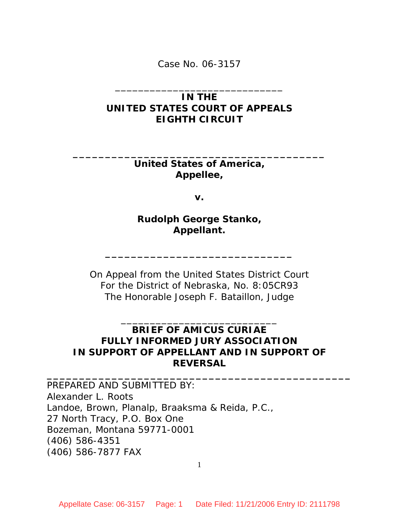Case No. 06-3157

## **IN THE UNITED STATES COURT OF APPEALS EIGHTH CIRCUIT**

\_\_\_\_\_\_\_\_\_\_\_\_\_\_\_\_\_\_\_\_\_\_\_\_\_\_\_\_\_

**United States of America, Appellee,** 

**\_\_\_\_\_\_\_\_\_\_\_\_\_\_\_\_\_\_\_\_\_\_\_\_\_\_\_\_\_\_\_\_\_\_\_\_\_\_\_** 

**v.** 

**Rudolph George Stanko, Appellant.** 

**\_\_\_\_\_\_\_\_\_\_\_\_\_\_\_\_\_\_\_\_\_\_\_\_\_\_\_\_\_** 

On Appeal from the United States District Court For the District of Nebraska, No. 8:05CR93 The Honorable Joseph F. Bataillon, Judge

## **BRIEF OF** *AMICUS CURIAE*  **FULLY INFORMED JURY ASSOCIATION IN SUPPORT OF APPELLANT** *AND* **IN SUPPORT OF REVERSAL**

**\_\_\_\_\_\_\_\_\_\_\_\_\_\_\_\_\_\_\_\_\_\_\_\_\_\_\_\_\_\_\_\_\_\_\_\_\_\_\_\_\_\_\_\_\_\_\_** 

\_\_\_\_\_\_\_\_\_\_\_\_\_\_\_\_\_\_\_\_\_\_\_\_\_\_\_

PREPARED *AND* SUBMITTED BY: Alexander L. Roots Landoe, Brown, Planalp, Braaksma & Reida, P.C., 27 North Tracy, P.O. Box One Bozeman, Montana 59771-0001 (406) 586-4351 (406) 586-7877 FAX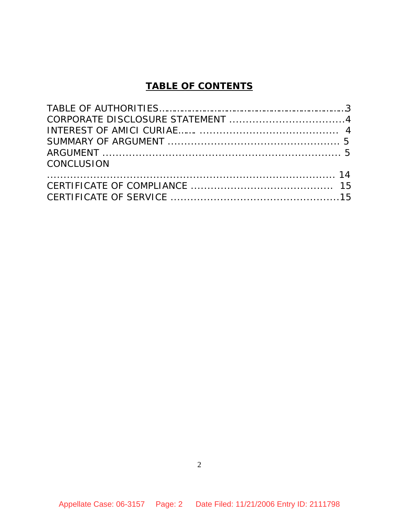# **TABLE OF CONTENTS**

| CONCLUSION |  |
|------------|--|
|            |  |
|            |  |
|            |  |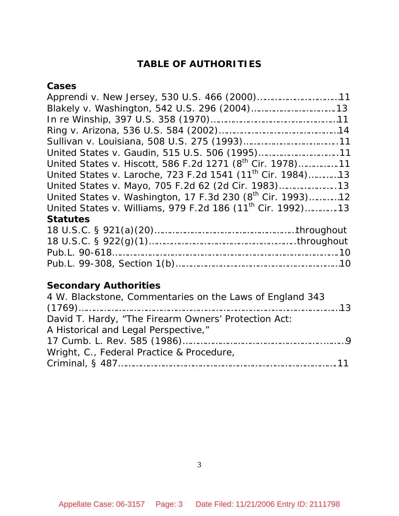# **TABLE OF AUTHORITIES**

## **Cases**

| United States v. Gaudin, 515 U.S. 506 (1995)11                         |
|------------------------------------------------------------------------|
| United States v. Hiscott, 586 F.2d 1271 (8 <sup>th</sup> Cir. 1978)11  |
| United States v. Laroche, 723 F.2d 1541 (11 <sup>th</sup> Cir. 1984)13 |
| United States v. Mayo, 705 F.2d 62 (2d Cir. 1983)                      |
| United States v. Washington, 17 F.3d 230 $(8^{th}$ Cir. 1993)12        |
| United States v. Williams, 979 F.2d 186 (11 <sup>th</sup> Cir. 1992)13 |
| <b>Statutes</b>                                                        |
|                                                                        |

# **Secondary Authorities**

| 4 W. Blackstone, Commentaries on the Laws of England 343 |  |
|----------------------------------------------------------|--|
|                                                          |  |
| David T. Hardy, "The Firearm Owners' Protection Act:     |  |
| A Historical and Legal Perspective,"                     |  |
|                                                          |  |
| Wright, C., Federal Practice & Procedure,                |  |
|                                                          |  |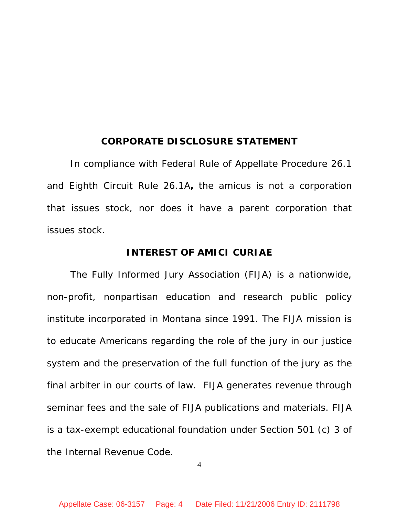### **CORPORATE DISCLOSURE STATEMENT**

In compliance with Federal Rule of Appellate Procedure 26.1 and Eighth Circuit Rule 26.1A**,** the *amicus* is not a corporation that issues stock, nor does it have a parent corporation that issues stock.

### **INTEREST OF** *AMICI CURIAE*

The Fully Informed Jury Association (FIJA) is a nationwide, non-profit, nonpartisan education and research public policy institute incorporated in Montana since 1991. The FIJA mission is to educate Americans regarding the role of the jury in our justice system and the preservation of the full function of the jury as the final arbiter in our courts of law. FIJA generates revenue through seminar fees and the sale of FIJA publications and materials. FIJA is a tax-exempt educational foundation under Section 501 (c) 3 of the Internal Revenue Code.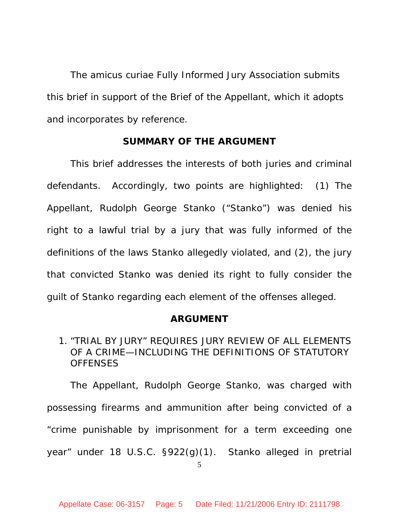The *amicus curiae* Fully Informed Jury Association submits this brief in support of the Brief of the Appellant, which it adopts and incorporates by reference.

#### **SUMMARY OF THE ARGUMENT**

 This brief addresses the interests of both juries and criminal defendants. Accordingly, two points are highlighted: (1) The Appellant, Rudolph George Stanko ("Stanko") was denied his right to a lawful trial by a jury that was fully informed of the definitions of the laws Stanko allegedly violated, and (2), the jury that convicted Stanko was denied its right to fully consider the guilt of Stanko regarding each element of the offenses alleged.

#### **ARGUMENT**

## 1. "TRIAL BY JURY" REQUIRES JURY REVIEW OF ALL ELEMENTS OF A CRIME—INCLUDING THE DEFINITIONS OF STATUTORY **OFFENSES**

 The Appellant, Rudolph George Stanko, was charged with possessing firearms and ammunition after being convicted of a "crime punishable by imprisonment for a term exceeding one year" under 18 U.S.C. §922(g)(1). Stanko alleged in pretrial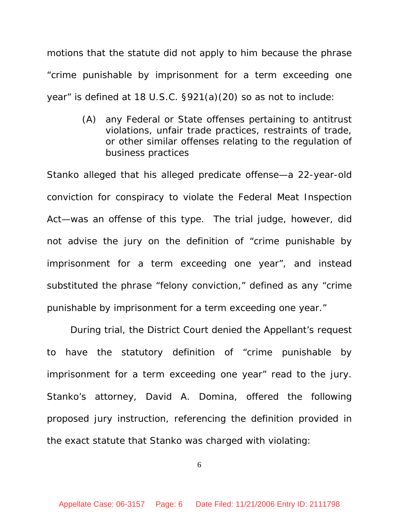motions that the statute did not apply to him because the phrase "crime punishable by imprisonment for a term exceeding one year" is defined at 18 U.S.C. §921(a)(20) so as not to include:

> (A) any Federal or State offenses pertaining to antitrust violations, unfair trade practices, restraints of trade, or other similar offenses relating to the regulation of business practices

Stanko alleged that his alleged predicate offense—a 22-year-old conviction for conspiracy to violate the Federal Meat Inspection Act—was an offense of this type. The trial judge, however, did not advise the jury on the definition of "crime punishable by imprisonment for a term exceeding one year", and instead substituted the phrase "felony conviction," defined as any "crime punishable by imprisonment for a term exceeding one year."

During trial, the District Court denied the Appellant's request to have the statutory definition of "crime punishable by imprisonment for a term exceeding one year" read to the jury. Stanko's attorney, David A. Domina, offered the following proposed jury instruction, referencing the definition provided in the exact statute that Stanko was charged with violating: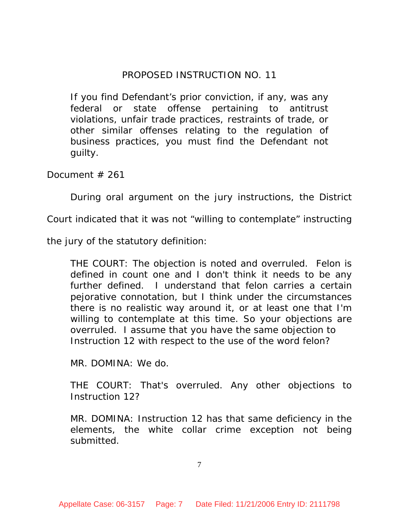## PROPOSED INSTRUCTION NO. 11

If you find Defendant's prior conviction, if any, was any federal or state offense pertaining to antitrust violations, unfair trade practices, restraints of trade, or other similar offenses relating to the regulation of business practices, you must find the Defendant not guilty.

Document # 261

During oral argument on the jury instructions, the District

Court indicated that it was not "willing to contemplate" instructing

the jury of the statutory definition:

THE COURT: The objection is noted and overruled. Felon is defined in count one and I don't think it needs to be any further defined. I understand that felon carries a certain pejorative connotation, but I think under the circumstances there is no realistic way around it, or at least one that I'm willing to contemplate at this time. So your objections are overruled. I assume that you have the same objection to Instruction 12 with respect to the use of the word felon?

MR. DOMINA: We do.

THE COURT: That's overruled. Any other objections to Instruction 12?

MR. DOMINA: Instruction 12 has that same deficiency in the elements, the white collar crime exception not being submitted.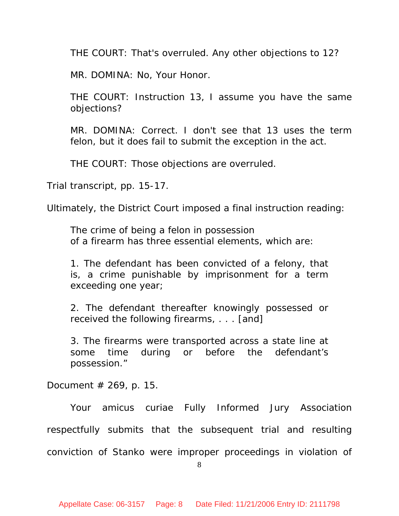THE COURT: That's overruled. Any other objections to 12?

MR. DOMINA: No, Your Honor.

THE COURT: Instruction 13, I assume you have the same objections?

MR. DOMINA: Correct. I don't see that 13 uses the term felon, but it does fail to submit the exception in the act.

THE COURT: Those objections are overruled.

Trial transcript, pp. 15-17.

Ultimately, the District Court imposed a final instruction reading:

The crime of being a felon in possession of a firearm has three essential elements, which are:

1. The defendant has been convicted of a felony, that is, a crime punishable by imprisonment for a term exceeding one year;

2. The defendant thereafter knowingly possessed or received the following firearms, . . . [and]

3. The firearms were transported across a state line at some time during or before the defendant's possession."

Document  $#$  269, p. 15.

 Your *amicus curiae* Fully Informed Jury Association respectfully submits that the subsequent trial and resulting conviction of Stanko were improper proceedings in violation of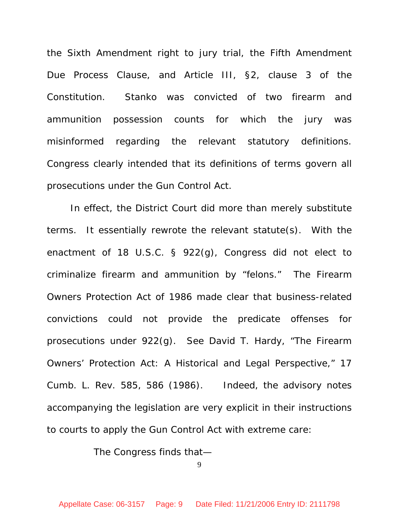the Sixth Amendment right to jury trial, the Fifth Amendment Due Process Clause, and Article III, §2, clause 3 of the Constitution. Stanko was convicted of two firearm and ammunition possession counts for which the jury was misinformed regarding the relevant statutory definitions. Congress clearly intended that its definitions of terms govern all prosecutions under the Gun Control Act.

In effect, the District Court did more than merely substitute terms. It essentially rewrote the relevant statute(s). With the enactment of 18 U.S.C. § 922(g), Congress did not elect to criminalize firearm and ammunition by "felons." The Firearm Owners Protection Act of 1986 made clear that business-related convictions could not provide the predicate offenses for prosecutions under 922(g). See David T. Hardy, "*The Firearm Owners' Protection Act: A Historical and Legal Perspective,"* 17 Cumb. L. Rev. 585, 586 (1986). Indeed, the advisory notes accompanying the legislation are very explicit in their instructions to courts to apply the Gun Control Act with extreme care:

The Congress finds that—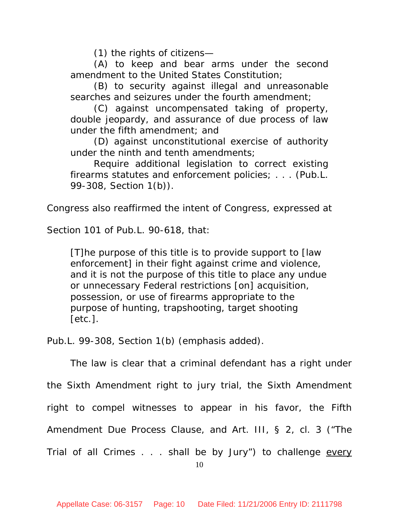(1) the rights of citizens—

(A) to keep and bear arms under the second amendment to the United States Constitution;

(B) to security against illegal and unreasonable searches and seizures under the fourth amendment;

(C) against uncompensated taking of property, double jeopardy, and assurance of due process of law under the fifth amendment; and

(D) against unconstitutional exercise of authority under the ninth and tenth amendments;

Require additional legislation to correct existing firearms statutes and enforcement policies; . . . (Pub.L. 99-308, Section 1(b)).

Congress also reaffirmed the intent of Congress, expressed at

Section 101 of Pub.L. 90-618, that:

[T]he purpose of this title is to provide support to [law enforcement] in their fight against *crime and violence*, and it is not the purpose of this title to place any undue or unnecessary Federal restrictions [on] acquisition, possession, or use of firearms appropriate to the purpose of hunting, trapshooting, target shooting [etc.].

Pub.L. 99-308, Section 1(b) (emphasis added).

The law is clear that a criminal defendant has a right under the Sixth Amendment right to jury trial, the Sixth Amendment right to compel witnesses to appear in his favor, the Fifth Amendment Due Process Clause, and Art. III, § 2, cl. 3 ("The Trial of all Crimes . . . shall be by Jury") to challenge every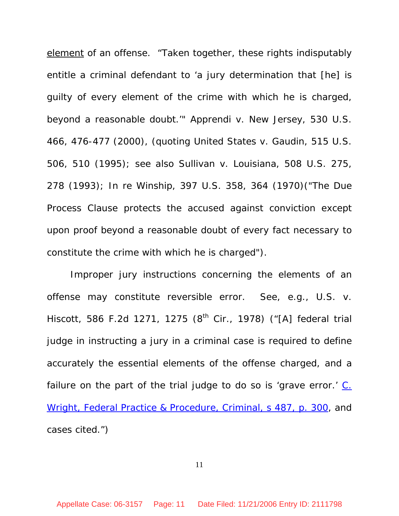element of an offense. "Taken together, these rights indisputably entitle a criminal defendant to 'a jury determination that [he] is guilty of every element of the crime with which he is charged, beyond a reasonable doubt.'" *Apprendi v. New Jersey*, 530 U.S. 466, 476-477 (2000), (quoting *United States v. Gaudin*, 515 U.S. 506, 510 (1995); see also *Sullivan v. Louisiana*, 508 U.S. 275, 278 (1993); *In re Winship*, 397 U.S. 358, 364 (1970)("The Due Process Clause protects the accused against conviction except upon proof beyond a reasonable doubt of every fact necessary to constitute the crime with which he is charged").

Improper jury instructions concerning the elements of an offense may constitute reversible error. See, e.g., *U.S. v. Hiscott*, 586 F.2d 1271, 1275 (8<sup>th</sup> Cir., 1978) ("[A] federal trial judge in instructing a jury in a criminal case is required to define accurately the essential elements of the offense charged, and a failure on the part of the trial judge to do so is 'grave error.' C. Wright, Federal Practice & Procedure, Criminal, s 487, p. 300, and cases cited.")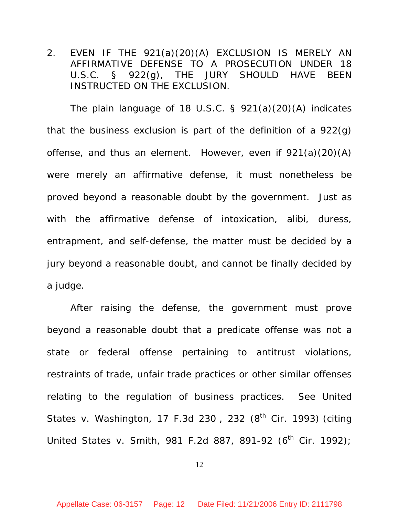2. EVEN IF THE 921(a)(20)(A) EXCLUSION IS MERELY AN AFFIRMATIVE DEFENSE TO A PROSECUTION UNDER 18 U.S.C. § 922(g), THE JURY SHOULD HAVE BEEN INSTRUCTED ON THE EXCLUSION.

The plain language of 18 U.S.C. § 921(a)(20)(A) indicates that the business exclusion is part of the definition of a 922(g) offense, and thus an element. However, even if 921(a)(20)(A) were merely an affirmative defense, it must nonetheless be proved beyond a reasonable doubt by the government. Just as with the affirmative defense of intoxication, alibi, duress, entrapment, and self-defense, the matter must be decided by a jury beyond a reasonable doubt, and cannot be finally decided by a judge.

After raising the defense, the government must prove beyond a reasonable doubt that a predicate offense was not a state or federal offense pertaining to antitrust violations, restraints of trade, unfair trade practices or other similar offenses relating to the regulation of business practices. See United States v. Washington, 17 F.3d 230, 232  $(8<sup>th</sup>$  Cir. 1993) (citing United States v. Smith, 981 F.2d 887, 891-92 ( $6^{th}$  Cir. 1992);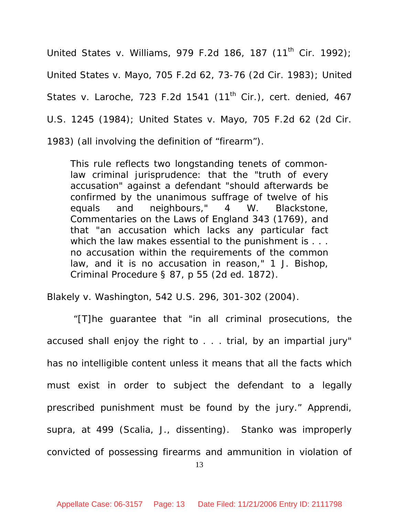United States v. Williams, 979 F.2d 186, 187 (11<sup>th</sup> Cir. 1992); United States v. Mayo, 705 F.2d 62, 73-76 (2d Cir. 1983); United States v. Laroche, 723 F.2d 1541 (11<sup>th</sup> Cir.), cert. denied, 467 U.S. 1245 (1984); United States v. Mayo, 705 F.2d 62 (2d Cir. 1983) (all involving the definition of "firearm").

This rule reflects two longstanding tenets of commonlaw criminal jurisprudence: that the "truth of every accusation" against a defendant "should afterwards be confirmed by the unanimous suffrage of twelve of his equals and neighbours," 4 W. Blackstone, Commentaries on the Laws of England 343 (1769), and that "an accusation which lacks any particular fact which the law makes essential to the punishment is . . . no accusation within the requirements of the common law, and it is no accusation in reason," 1 J. Bishop, Criminal Procedure § 87, p 55 (2d ed. 1872).

*Blakely v. Washington*, 542 U.S. 296, 301-302 (2004).

 "[T]he guarantee that "in all criminal prosecutions, the accused shall enjoy the right to . . . trial, by an impartial jury" has no intelligible content unless it means that all the facts which must exist in order to subject the defendant to a legally prescribed punishment *must* be found by the jury." *Apprendi*, supra, at 499 (Scalia, J., dissenting). Stanko was improperly convicted of possessing firearms and ammunition in violation of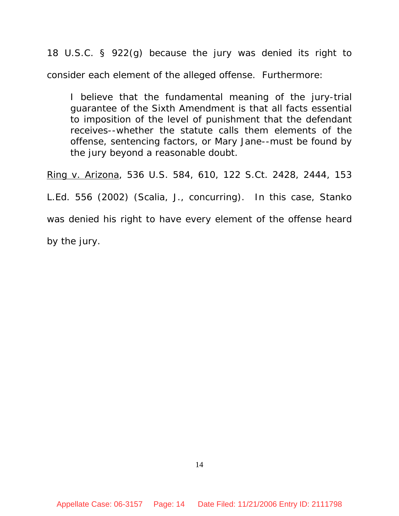18 U.S.C. § 922(g) because the jury was denied its right to consider each element of the alleged offense. Furthermore:

I believe that the fundamental meaning of the jury-trial guarantee of the Sixth Amendment is that all facts essential to imposition of the level of punishment that the defendant receives--whether the statute calls them elements of the offense, sentencing factors, or Mary Jane--must be found by the jury beyond a reasonable doubt.

Ring v. Arizona, 536 U.S. 584, 610, 122 S.Ct. 2428, 2444, 153 L.Ed. 556 (2002) (Scalia, J., concurring). In this case, Stanko was denied his right to have every element of the offense heard by the jury.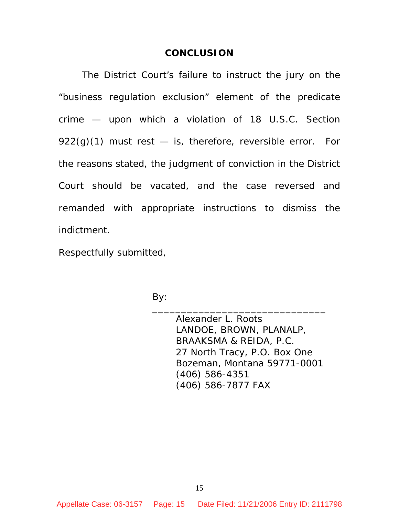#### **CONCLUSION**

The District Court's failure to instruct the jury on the "business regulation exclusion" element of the predicate crime — upon which a violation of 18 U.S.C. Section  $922(q)(1)$  must rest  $-$  is, therefore, reversible error. For the reasons stated, the judgment of conviction in the District Court should be vacated, and the case reversed and remanded with appropriate instructions to dismiss the indictment.

Respectfully submitted,

By:

 Alexander L. Roots LANDOE, BROWN, PLANALP, BRAAKSMA & REIDA, P.C. 27 North Tracy, P.O. Box One Bozeman, Montana 59771-0001 (406) 586-4351 (406) 586-7877 FAX

 $\overline{\phantom{a}}$  , which is a set of the set of the set of the set of the set of the set of the set of the set of the set of the set of the set of the set of the set of the set of the set of the set of the set of the set of th